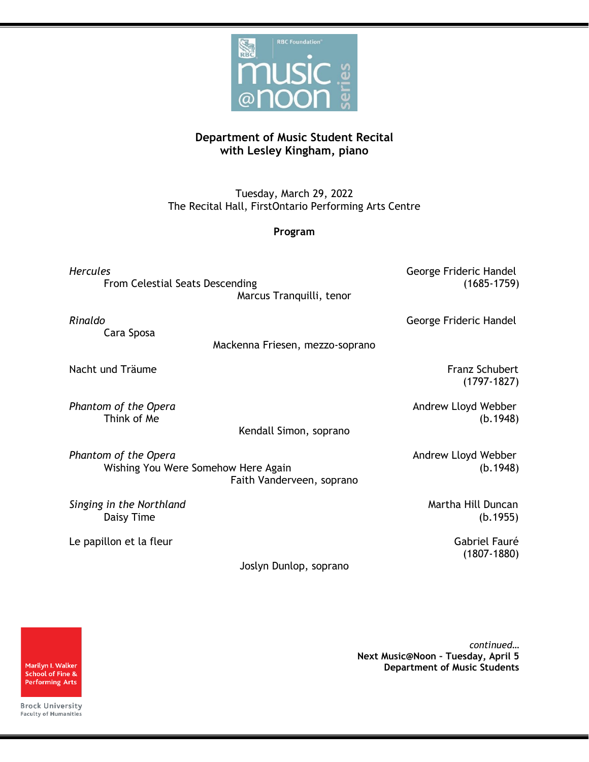

## **Department of Music Student Recital with Lesley Kingham, piano**

Tuesday, March 29, 2022 The Recital Hall, FirstOntario Performing Arts Centre

## **Program**

*Hercules* George Frideric Handel From Celestial Seats Descending (1685-1759) Marcus Tranquilli, tenor

*Rinaldo* George Frideric Handel

Cara Sposa

Mackenna Friesen, mezzo-soprano

Nacht und Träume Franz Schubert in der Einstein Eraussen auf der Eraussen Franz Schubert

**Phantom of the Opera** Andrew Lloyd Webber Andrew Lloyd Webber Think of Me (b.1948)

Kendall Simon, soprano

**Phantom of the Opera** Andrew Lloyd Webber Wishing You Were Somehow Here Again (b.1948) Faith Vanderveen, soprano

**Singing in the Northland** Martha Hill Duncan

Le papillon et la fleur de la commune de la commune de la Gabriel Fauré

Daisy Time (b.1955)

(1807-1880)

(1797-1827)

Joslyn Dunlop, soprano

Marilyn I. Walker School of Fine & **Performing Arts** 

*continued…* **Next Music@Noon – Tuesday, April 5 Department of Music Students**

**Brock University** Faculty of Humanities